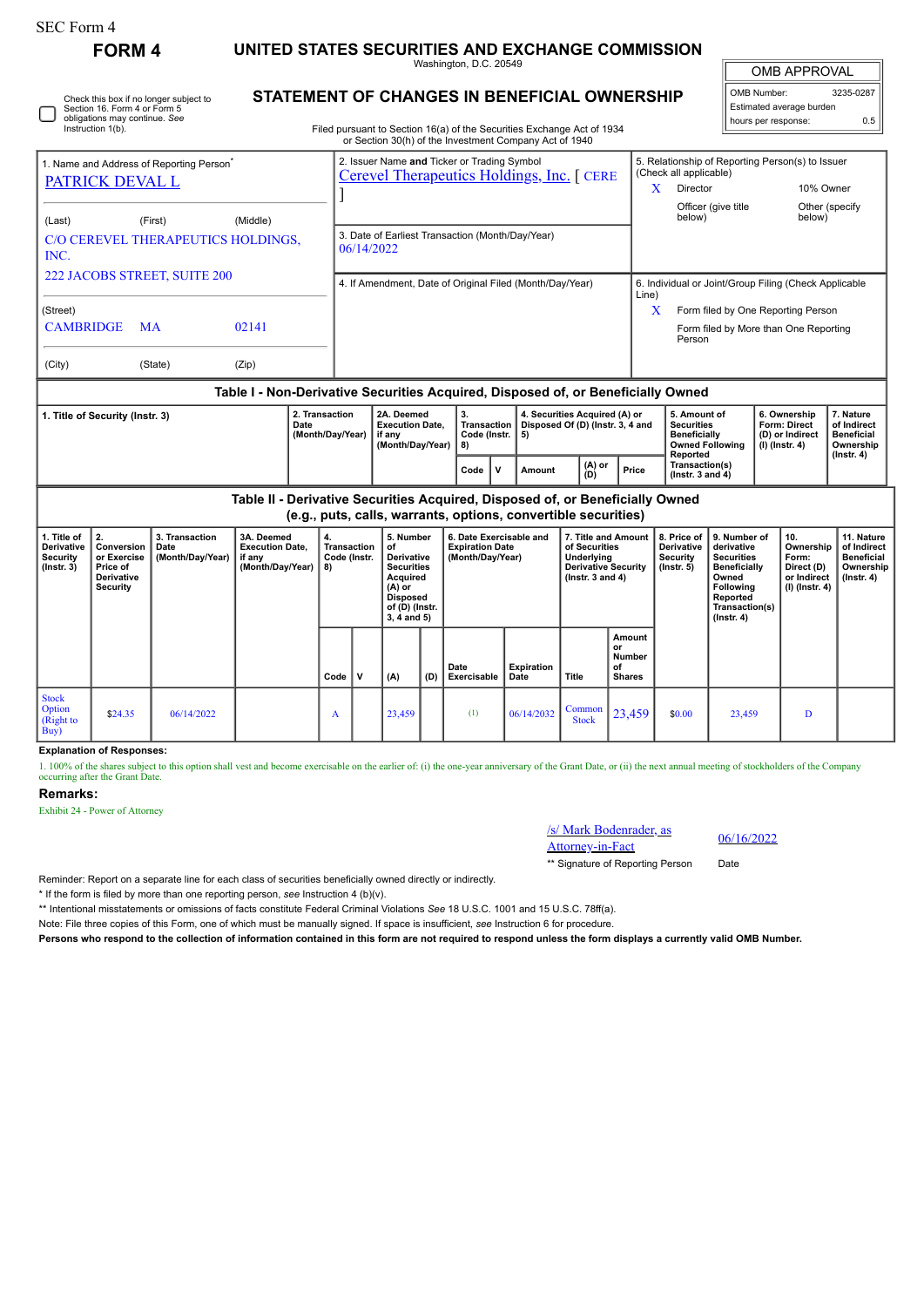# **FORM 4 UNITED STATES SECURITIES AND EXCHANGE COMMISSION**

Washington, D.C. 20549

| Washington, D.C. 20549                       | OMB APPROVAL               |      |  |
|----------------------------------------------|----------------------------|------|--|
| STATEMENT OF CHANGES IN BENEFICIAL OWNERSHIP | <sup>'</sup> l OMB Number: | 3235 |  |

OMB Number: 3235-0287 Estimated average burden hours per response: 0.5

| Section 16. Form 4 or Form 5<br>obligations may continue. See           | Check this box if no longer subject to |                                                | STATEMENT OF CHANGES IN BENEFICIAL OWNERSHIP                                                                                     |       |                                                       | Estimated average burden |                                                               |  |
|-------------------------------------------------------------------------|----------------------------------------|------------------------------------------------|----------------------------------------------------------------------------------------------------------------------------------|-------|-------------------------------------------------------|--------------------------|---------------------------------------------------------------|--|
| Instruction 1(b).                                                       |                                        |                                                | Filed pursuant to Section 16(a) of the Securities Exchange Act of 1934<br>or Section 30(h) of the Investment Company Act of 1940 |       | hours per response:                                   | 0.5                      |                                                               |  |
| 1. Name and Address of Reporting Person <sup>®</sup><br>PATRICK DEVAL L |                                        |                                                | 2. Issuer Name and Ticker or Trading Symbol<br>Cerevel Therapeutics Holdings, Inc. [ CERE                                        | X     | (Check all applicable)<br>Director                    |                          | 5. Relationship of Reporting Person(s) to Issuer<br>10% Owner |  |
| (Last)                                                                  | (First)                                | (Middle)<br>C/O CEREVEL THERAPEUTICS HOLDINGS. | 3. Date of Earliest Transaction (Month/Day/Year)                                                                                 |       | Officer (give title<br>below)                         |                          | Other (specify)<br>below)                                     |  |
| INC.                                                                    |                                        |                                                | 06/14/2022                                                                                                                       |       |                                                       |                          |                                                               |  |
| 222 JACOBS STREET, SUITE 200                                            |                                        |                                                | 4. If Amendment, Date of Original Filed (Month/Day/Year)                                                                         | Line) | 6. Individual or Joint/Group Filing (Check Applicable |                          |                                                               |  |
| (Street)                                                                |                                        |                                                |                                                                                                                                  | X     |                                                       |                          | Form filed by One Reporting Person                            |  |
| <b>CAMBRIDGE</b>                                                        | <b>MA</b>                              | 02141                                          |                                                                                                                                  |       | Person                                                |                          | Form filed by More than One Reporting                         |  |
| (City)                                                                  | (State)                                | (Zip)                                          |                                                                                                                                  |       |                                                       |                          |                                                               |  |
|                                                                         |                                        | -                                              | .                                                                                                                                | .     |                                                       |                          |                                                               |  |

### **Table I - Non-Derivative Securities Acquired, Disposed of, or Beneficially Owned**

| I. Title of Security (Instr. 3) | 2. Transaction<br>Date<br>(Month/Dav/Year) | 2A. Deemed<br><b>Execution Date.</b><br>if anv<br>(Month/Dav/Year) | -3.<br>Code (Instr. 15)<br>I 8) |     | 4. Securities Acquired (A) or<br>Transaction   Disposed Of (D) (Instr. 3, 4 and |               |       | 5. Amount of<br><b>Securities</b><br>Beneficially<br><b>Owned Following</b> | 6. Ownership<br><b>Form: Direct</b><br>(D) or Indirect<br>(I) (Instr. 4) | . Nature<br>of Indirect<br><b>Beneficial</b><br>Ownership<br>$($ lnstr $, 4)$ |
|---------------------------------|--------------------------------------------|--------------------------------------------------------------------|---------------------------------|-----|---------------------------------------------------------------------------------|---------------|-------|-----------------------------------------------------------------------------|--------------------------------------------------------------------------|-------------------------------------------------------------------------------|
|                                 |                                            |                                                                    | Code                            | ∣ v | Amount                                                                          | (A) or<br>(D) | Price | Reported<br>Transaction(s)<br>$($ lnstr. 3 and 4 $)$                        |                                                                          |                                                                               |

**Table II - Derivative Securities Acquired, Disposed of, or Beneficially Owned (e.g., puts, calls, warrants, options, convertible securities)**

| 1. Title of<br><b>Derivative</b><br><b>Security</b><br>$($ Instr. 3 $)$ | Conversion<br>or Exercise<br>Price of<br>Derivative<br>Security | 3. Transaction<br>Date<br>(Month/Day/Year) | 3A. Deemed<br><b>Execution Date,</b><br>if any<br>(Month/Day/Year) | 4.<br>Transaction<br>Code (Instr.<br>8) |             | 5. Number<br>of<br><b>Derivative</b><br><b>Securities</b><br>Acquired<br>$(A)$ or<br><b>Disposed</b><br>of (D) (Instr.<br>$3, 4$ and $5)$ |     | 6. Date Exercisable and<br><b>Expiration Date</b><br>(Month/Day/Year) |                           | 7. Title and Amount<br>of Securities<br>Underlying<br><b>Derivative Security</b><br>$($ lnstr. 3 and 4 $)$ |                                                      | 8. Price of<br><b>Derivative</b><br>Security<br>$($ lnstr. 5 $)$ | 9. Number of<br>derivative<br><b>Securities</b><br>Beneficially<br>Owned<br>Following<br>Reported<br>Transaction(s)<br>$($ lnstr. 4 $)$ | 10.<br>Ownership<br>Form:<br>Direct (D)<br>or Indirect<br>$(I)$ (Instr. 4) | 11. Nature<br>of Indirect<br><b>Beneficial</b><br>Ownership<br>$($ lnstr. 4 $)$ |
|-------------------------------------------------------------------------|-----------------------------------------------------------------|--------------------------------------------|--------------------------------------------------------------------|-----------------------------------------|-------------|-------------------------------------------------------------------------------------------------------------------------------------------|-----|-----------------------------------------------------------------------|---------------------------|------------------------------------------------------------------------------------------------------------|------------------------------------------------------|------------------------------------------------------------------|-----------------------------------------------------------------------------------------------------------------------------------------|----------------------------------------------------------------------------|---------------------------------------------------------------------------------|
|                                                                         |                                                                 |                                            |                                                                    | Code                                    | $\mathbf v$ | (A)                                                                                                                                       | (D) | Date<br>Exercisable                                                   | <b>Expiration</b><br>Date | Title                                                                                                      | Amount<br>or<br><b>Number</b><br>of<br><b>Shares</b> |                                                                  |                                                                                                                                         |                                                                            |                                                                                 |
| <b>Stock</b><br><b>Option</b><br>(Right to<br>Buy)                      | \$24.35                                                         | 06/14/2022                                 |                                                                    | A                                       |             | 23,459                                                                                                                                    |     | (1)                                                                   | 06/14/2032                | Common<br><b>Stock</b>                                                                                     | 23,459                                               | \$0.00                                                           | 23,459                                                                                                                                  | D                                                                          |                                                                                 |

## **Explanation of Responses:**

1. 100% of the shares subject to this option shall vest and become exercisable on the earlier of: (i) the one-year anniversary of the Grant Date, or (ii) the next annual meeting of stockholders of the Company occurring after the Grant Date.

### **Remarks:**

Exhibit 24 - Power of Attorney



\*\* Signature of Reporting Person

Reminder: Report on a separate line for each class of securities beneficially owned directly or indirectly.

\* If the form is filed by more than one reporting person, *see* Instruction 4 (b)(v).

\*\* Intentional misstatements or omissions of facts constitute Federal Criminal Violations *See* 18 U.S.C. 1001 and 15 U.S.C. 78ff(a).

Note: File three copies of this Form, one of which must be manually signed. If space is insufficient, *see* Instruction 6 for procedure.

**Persons who respond to the collection of information contained in this form are not required to respond unless the form displays a currently valid OMB Number.**